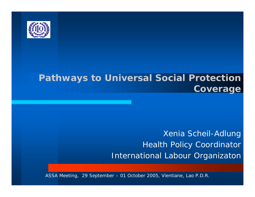

### **Pathways to Universal Social Protection Coverage**

### Xenia Scheil-Adlung Health Policy Coordinator International Labou r Organizaton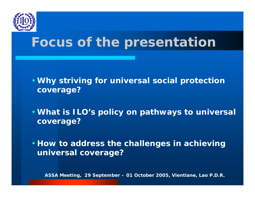

# **Focus of the presentation**

- **Why striving for universal social protection coverage?**
- **What is ILO's policy on pathways to universal coverage?**

• **How to address the challenges in achieving universal coverage?**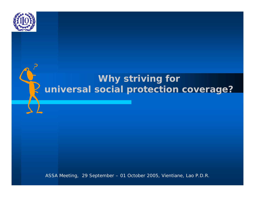

### **Why striving for universal social protection coverage?**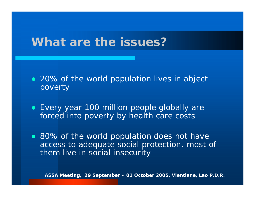### **What are the issues?**

- 20% of the world population lives in abject poverty
- Every year 100 million people globally are forced into poverty by health care costs
- 80% of the world population does not have access to adequate social protection, most of them live in social insecurity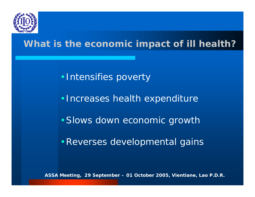

### **What is the economic impact of ill health?**

•Intensifies poverty

•Increases health expenditure

•Slows down economic growth

•Reverses developmental gains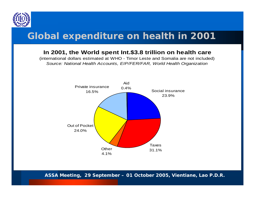

### **Global expenditure on health in 2001**

#### **In 2001, the World spe nt Int.\$3.8 trillion on health care**

(international dollars estimated at WHO - Timor Leste and Somalia are not included) *Sourc e: National Health Ac count s, EIP/FE R/FAR, W o rld Health Organiz ation*

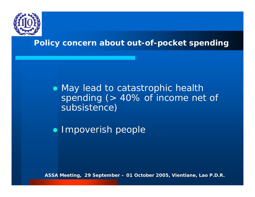

### **Policy concern about out-of-pocket spending**

• May lead to catastrophic health spending (> 40% of income net of subsistence)

**• Impoverish people**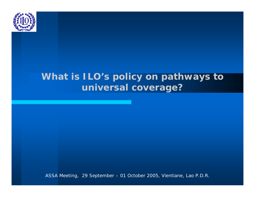

### **What is ILO's policy on pathways to universal coverage?**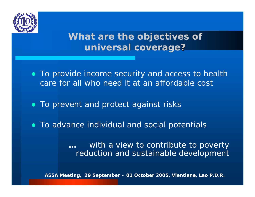

### **What are the objectives of universal coverage ?**

- To provide income security and access to health care for all who need it *at an affordable cost*
- To prevent and protect against risks
- To advance individual and social potentials

**…**with a view to contribute to poverty reduction and sustainable development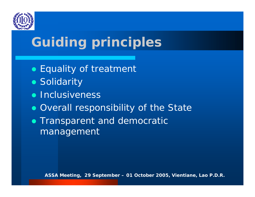

# **Guiding principles**

- Equality of treatment
- Solidarity
- **Inclusiveness**
- Overall responsibility of the State
- Transparent and democratic management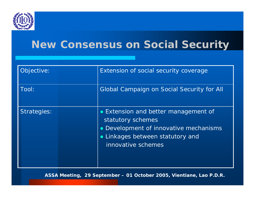

### **New Consensus on Social Security**

| Objective:         | Extension of social security coverage                                                                                                                     |
|--------------------|-----------------------------------------------------------------------------------------------------------------------------------------------------------|
| Tool:              | <b>Global Campaign on Social Security for All</b>                                                                                                         |
| <b>Strategies:</b> | • Extension and better management of<br>statutory schemes<br>Development of innovative mechanisms<br>Linkages between statutory and<br>innovative schemes |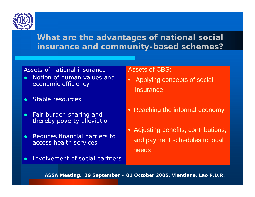

### **What are the advantages of national social insurance and community-based schemes?**

#### Assets of national insurance

- $\bullet$  Notion of human values and econo mic efficiency
- $\bullet$ Stable resources
- $\bullet$  Fair burden sharing and thereby poverty alleviation
- $\bullet$  Reduces financial barriers to access health services
- $\bullet$ Involvement of social partners

#### Assets of CBS:

- •Applying concepts of social insurance
- Reaching the informal economy
- Adjusting benefits, contributions, and payment schedules to local needs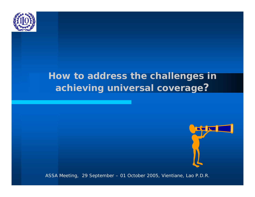

### **How to address the challenges in achieving universal coverage ?**

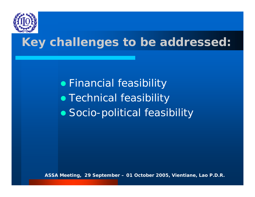

# **Key challenges to be addressed:**

**•** Financial feasibility • Technical feasibility • Socio-political feasibility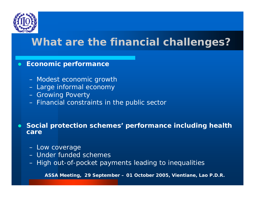

 $\bullet$ 

### **What are the financial challenges?**

#### $\bullet$ **Economic performance**

- Modest economic growth
- Large informal economy
- Growing Poverty
- Financial constraints in the public sector

#### **Social protection schemes' performance including health care**

- Low coverage
- Under funded schemes
- High out-of-pocket payments leading to inequalities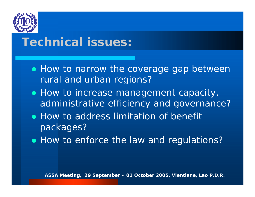

## **Technical issues:**

- How to narrow the coverage gap between rural and urban regions?
- $\bullet$  How to increase management capacity, administrative efficiency and governance?
- How to address limitation of benefit packages?
- How to enforce the law and regulations?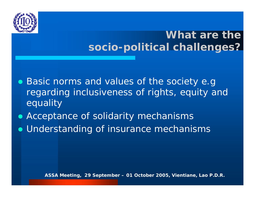

## **What are thesocio-political challenges?**

- Basic norms and values of the society e.g regarding inclusiveness of rights, equity and equality
- Acceptance of solidarity mechanisms
- Understanding of insurance mechanisms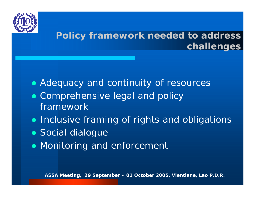

### **Policy framework needed to address challenges**

- Adequacy and continuity of resources
- Comprehensive legal and policy framework
- Inclusive framing of rights and obligations
- Social dialogue
- Monitoring and enforcement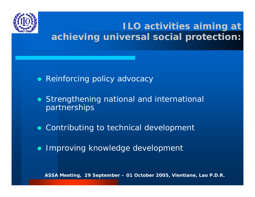

**ILO activities aiming at achieving universal social protection:**

- $\bullet$ Reinforcing policy advocacy
- Strengthening national and international partnerships
- Contributing to technical development
- $\bullet$ Improving knowledge development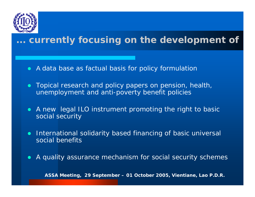

### **... currently focusing on the development of**

- $\bullet\;$  A data base as factual basis for policy formulation
- Topical research and policy papers on pension, health, unemployment and anti-poverty benefit policies
- A new legal ILO instrument promoting the right to basic social security
- $\bullet$  International solidarity based financing of basic universal social benefits
- $\bullet$ A quality assurance mechanism for social security schemes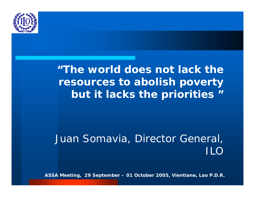

*"The world does not lack the resources to abolish poverty but it lacks the priorities* **"**

Juan Somavia, Director General, II O